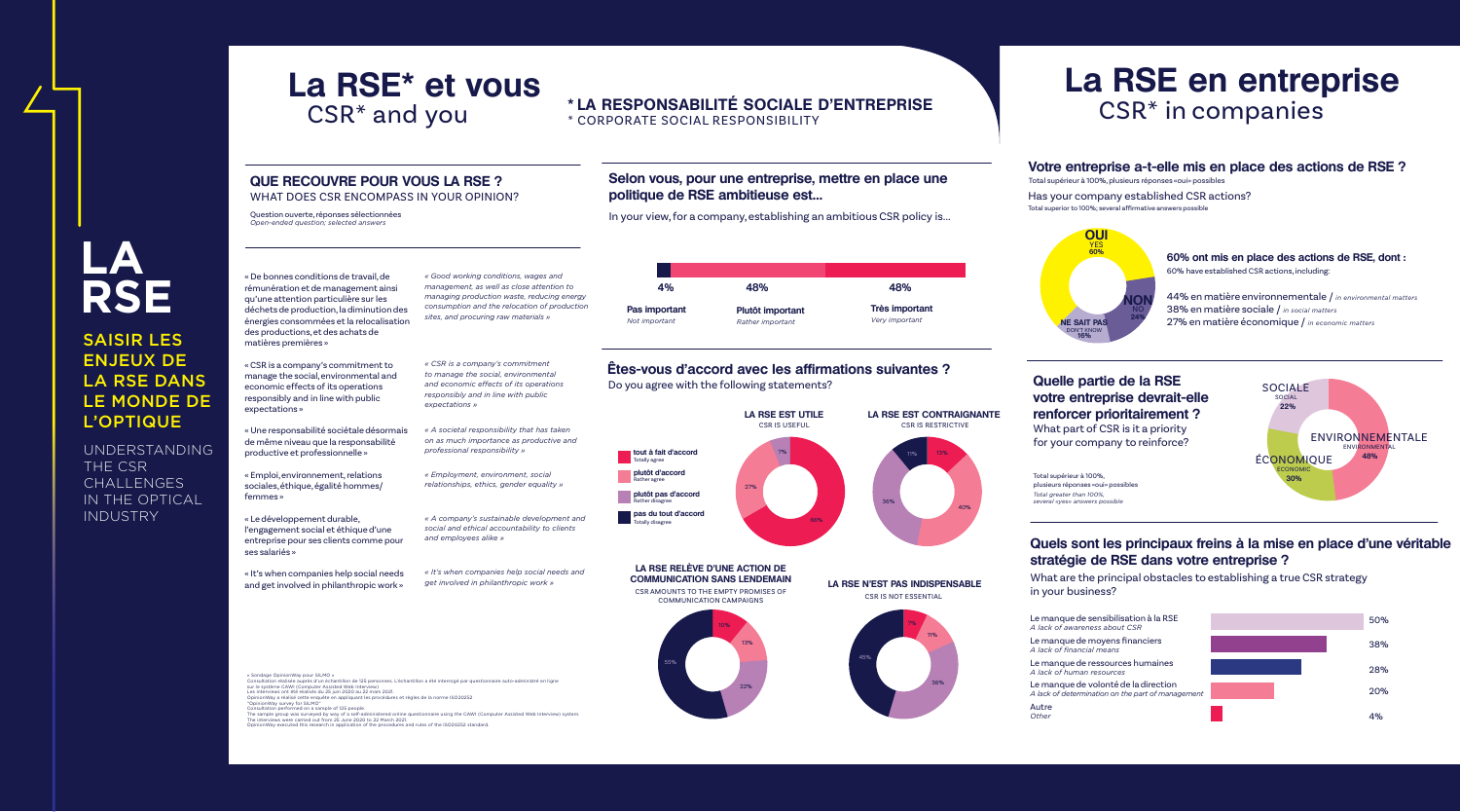# **LA RSE**

SAISIR LES ENJEUX DE LA RSE DANS LE MONDE DE L'OPTIQUE

UNDERSTANDING THE CSR CHALLENGES IN THE OPTICAL INDUSTRY

# CSR\* and you

# **La RSE\* et vous La RSE en entreprise** CSR\* in companies



#### **QUE RECOUVRE POUR VOUS LA RSE ?** WHAT DOES CSR ENCOMPASS IN YOUR OPINION?

Question ouverte, réponses sélectionnées *Open-ended question; selected answers*

# **Votre entreprise a-t-elle mis en place des actions de RSE ?**

Total supérieur à 100%, plusieurs réponses «oui» possibles

Has your company established CSR actions? Total superior to 100%; several affirmative answers possible

# **Quelle partie de la RSE votre entreprise devrait-elle renforcer prioritairement ?**

What part of CSR is it a priority for your company to reinforce?

# **Quels sont les principaux freins à la mise en place d'une véritable stratégie de RSE dans votre entreprise ?**

What are the principal obstacles to establishing a true CSR strategy in your business?

### **Êtes-vous d'accord avec les affirmations suivantes ?**

Do you agree with the following statements?

« De bonnes conditions de travail, de rémunération et de management ainsi qu'une attention particulière sur les déchets de production, la diminution des énergies consommées et la relocalisation des productions, et des achats de matières premières »

« CSR is a company's commitment to manage the social, environmental and economic effects of its operations responsibly and in line with public expectations »

« Une responsabilité sociétale désormais de même niveau que la responsabilité productive et professionnelle »

« Emploi, environnement, relations sociales, éthique, égalité hommes/ femmes »

« Le développement durable, l'engagement social et éthique d'une entreprise pour ses clients comme pour ses salariés »

« It's when companies help social needs and get involved in philanthropic work »

*« Good working conditions, wages and management, as well as close attention to managing production waste, reducing energy consumption and the relocation of production sites, and procuring raw materials »*

*« CSR is a company's commitment* 

*to manage the social, environmental* 

*and economic effects of its operations* 

*responsibly and in line with public* 

*expectations »*

*« A societal responsibility that has taken* 

*on as much importance as productive and* 

*professional responsibility »*

*« Employment, environment, social* 

*relationships, ethics, gender equality »*

*« A company's sustainable development and social and ethical accountability to clients and employees alike »* 

*« It's when companies help social needs and get involved in philanthropic work »*

### **Selon vous, pour une entreprise, mettre en place une politique de RSE ambitieuse est…**

In your view, for a company, establishing an ambitious CSR policy is...

**Très important** *Very important* 



**Plutôt important** *Rather important* 

## **\* LA RESPONSABILITÉ SOCIALE D'ENTREPRISE** \* CORPORATE SOCIAL RESPONSIBILITY

#### **LA RSE RELÈVE D'UNE ACTION DE COMMUNICATION SANS LENDEMAIN**

CSR AMOUNTS TO THE EMPTY PROMISES OF COMMUNICATION CAMPAIGNS

#### **LA RSE N'EST PAS INDISPENSABLE** CSR IS NOT ESSENTIAL

# **60% ont mis en place des actions de RSE, dont :**

60% have established CSR actions, including:

44% en matière environnementale / *in environmental matters* 38% en matière sociale / *in social matters* **NE SAIT PAS** 27% en matière économique / *in economic matters* 



Le manque de sensibilisation à la RSE *A lack of awareness about CSR*

Le manque de moyens financiers *A lack of financial means*

Le manque de ressources humaines *A lack of human resources*

Le manque de volonté de la direction *A lack of determination on the part of management* 

Autre *Other*

Total supérieur à 100%, plusieurs réponses «oui» possibles *Total greater than 100%, several «yes» answers possible*





« Sondage OpinionWay pour SILMO »

Consultation réalisée auprès d'un échantillon de 125 personnes. L'échantillon a été interrogé par questionnaire auto-administré en ligne



The sample group was surveyed by way of a self-administered online questionnaire using the CAWI (Computer Assisted Web Interview) system. OpinionWay executed this research in application of the procedures and rules of the ISO20252 standard.







sur le système CAWI (Computer Assisted Web Interview) Les interviews ont été réalisés du 25 juin 2020 au 22 mars 2021. OpinionWay a réalisé cette enquête en appliquant les procédures et règles de la norme ISO20252

<sup>&</sup>quot;OpinionWay survey for SILMO" Consultation performed on a sample of 125 people.

The interviews were carried out from 25 June 2020 to 22 March 2021.